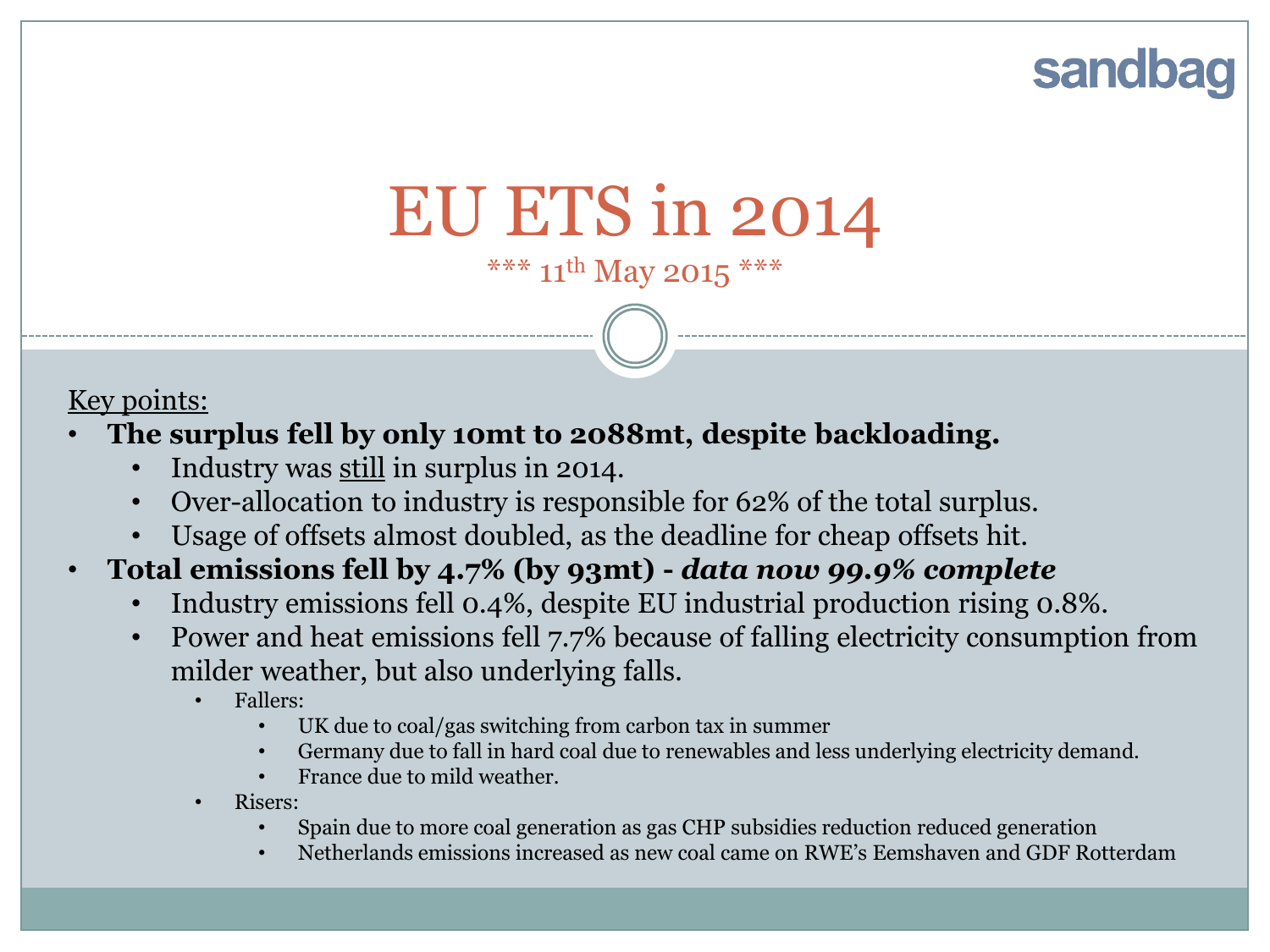## sandbag

# EU ETS in 2014

\*\*\*  $11^{th}$  May 2015 \*\*\*

#### Key points:

- **The surplus fell by only 10mt to 2088mt, despite backloading.** 
	- Industry was still in surplus in 2014.
	- Over-allocation to industry is responsible for 62% of the total surplus.
	- Usage of offsets almost doubled, as the deadline for cheap offsets hit.

#### • **Total emissions fell by 4.7% (by 93mt) -** *data now 99.9% complete*

- Industry emissions fell 0.4%, despite EU industrial production rising 0.8%.
- Power and heat emissions fell 7.7% because of falling electricity consumption from milder weather, but also underlying falls.
	- Fallers:
		- UK due to coal/gas switching from carbon tax in summer
		- Germany due to fall in hard coal due to renewables and less underlying electricity demand.
		- France due to mild weather.
	- Risers:
		- Spain due to more coal generation as gas CHP subsidies reduction reduced generation
		- Netherlands emissions increased as new coal came on RWE's Eemshaven and GDF Rotterdam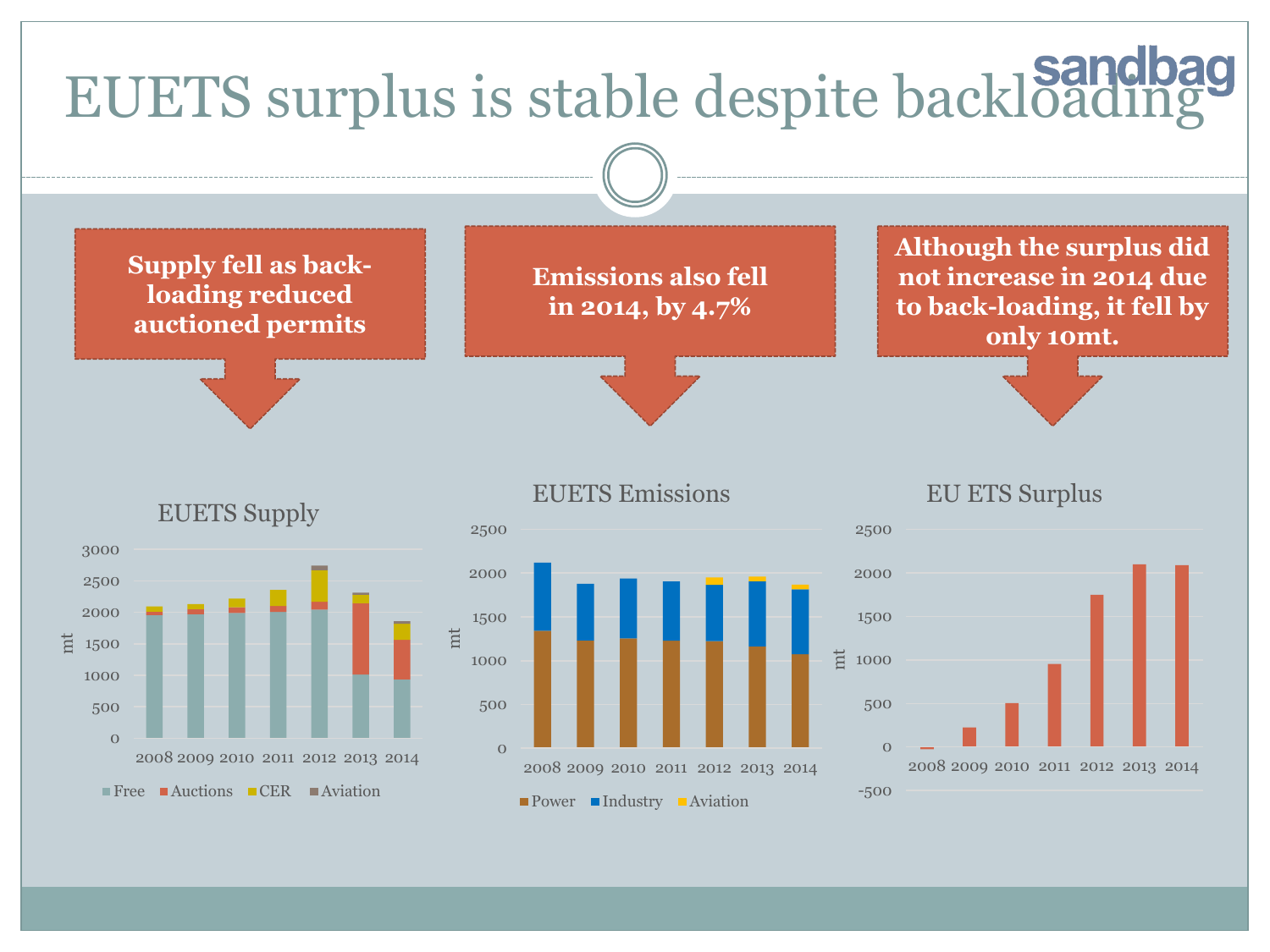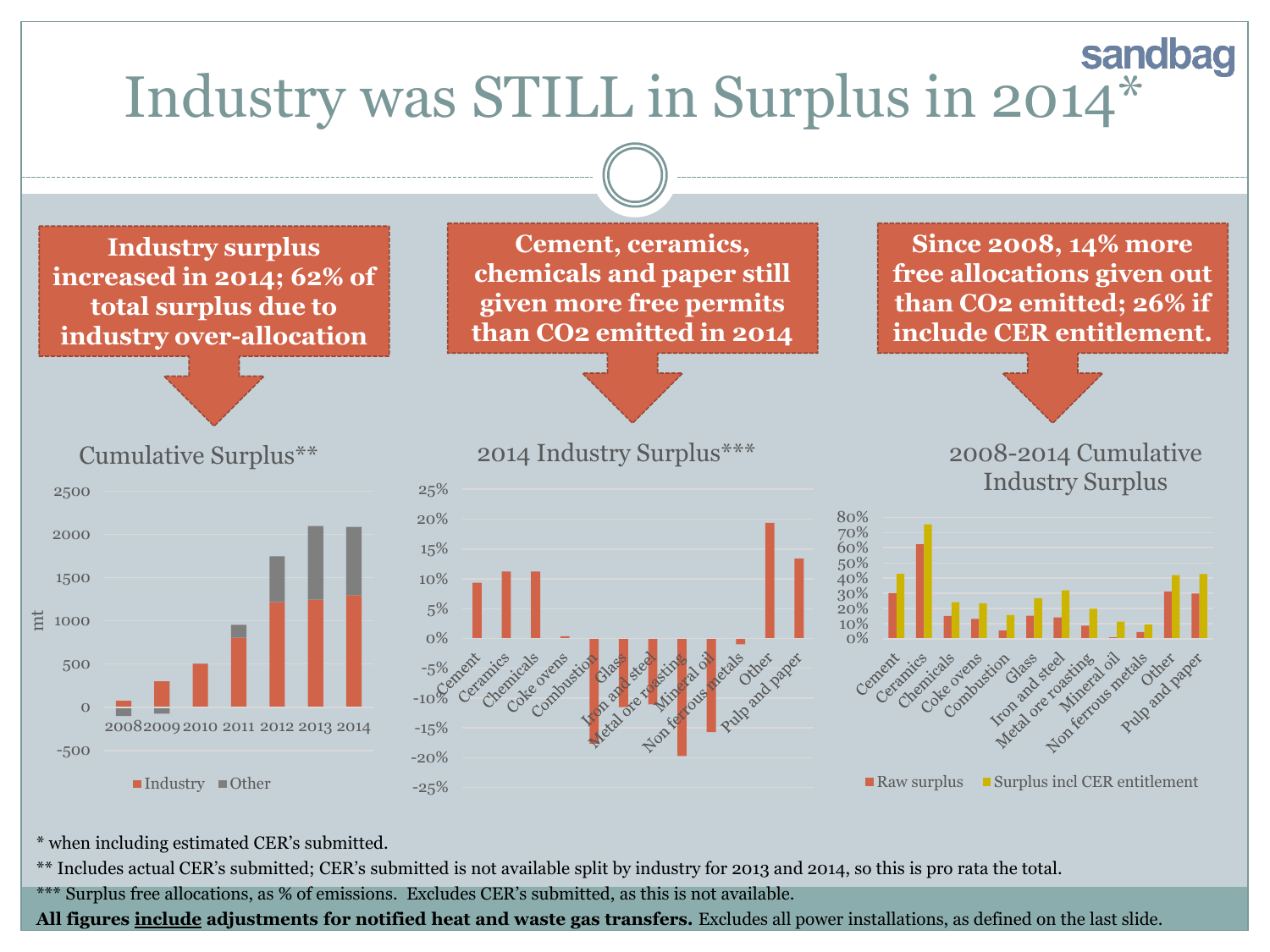

\* when including estimated CER's submitted.

\*\* Includes actual CER's submitted; CER's submitted is not available split by industry for 2013 and 2014, so this is pro rata the total.

\*\*\* Surplus free allocations, as % of emissions. Excludes CER's submitted, as this is not available.

**All figures include adjustments for notified heat and waste gas transfers.** Excludes all power installations, as defined on the last slide.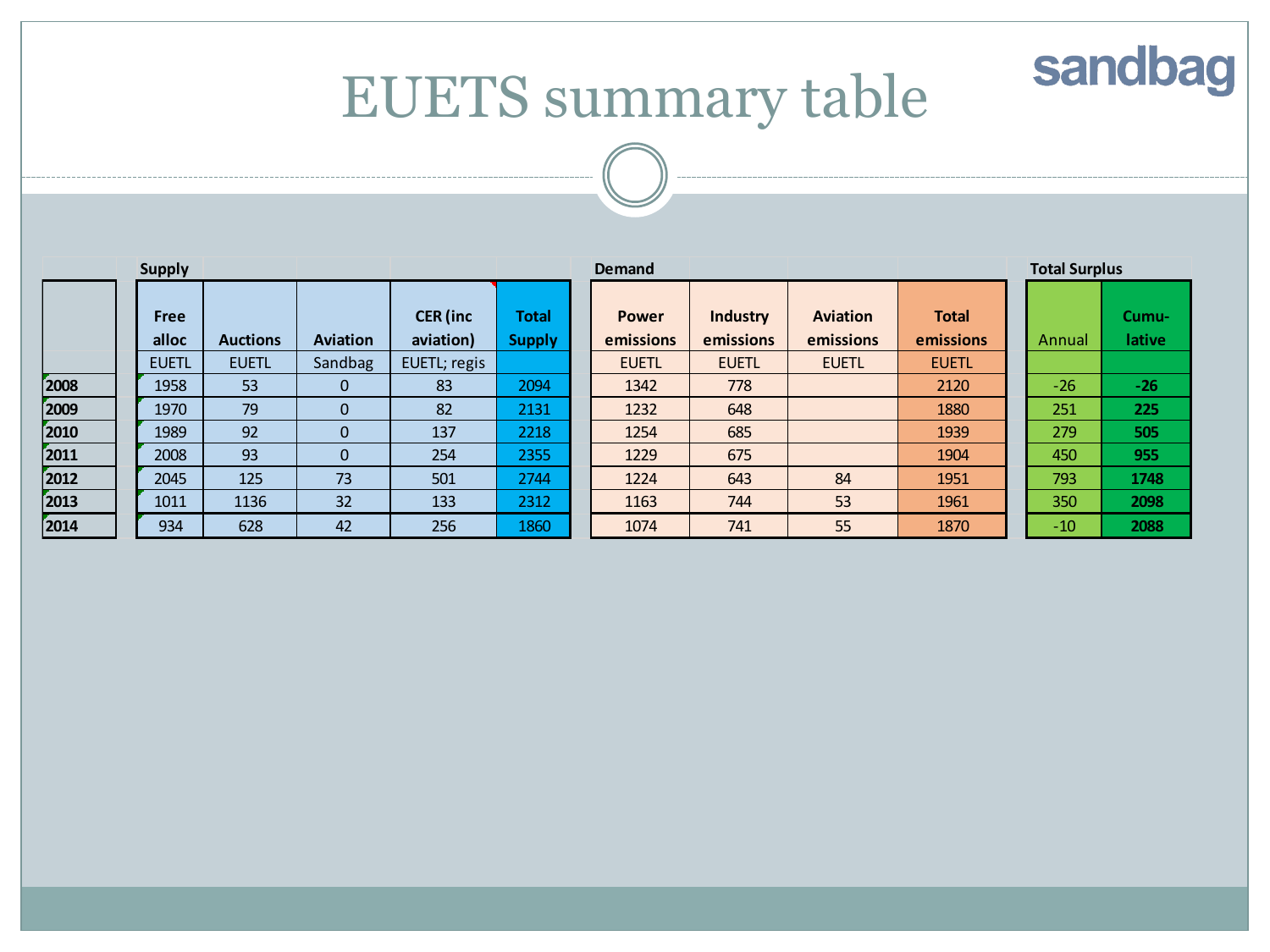## sandbag

## EUETS summary table

| <b>Supply</b> |               |                 |                 | <b>Demand</b>                |                        |  | <b>Total Surplus</b>      |                              |                              |                           |        |                        |
|---------------|---------------|-----------------|-----------------|------------------------------|------------------------|--|---------------------------|------------------------------|------------------------------|---------------------------|--------|------------------------|
|               | Free<br>alloc | <b>Auctions</b> | <b>Aviation</b> | <b>CER</b> (inc<br>aviation) | Total<br><b>Supply</b> |  | <b>Power</b><br>emissions | <b>Industry</b><br>emissions | <b>Aviation</b><br>emissions | <b>Total</b><br>emissions | Annual | Cumu-<br><b>lative</b> |
|               | <b>EUETL</b>  | <b>EUETL</b>    | Sandbag         | EUETL; regis                 |                        |  | <b>EUETL</b>              | <b>EUETL</b>                 | <b>EUETL</b>                 | <b>EUETL</b>              |        |                        |
| 2008          | 1958          | 53              | 0               | 83                           | 2094                   |  | 1342                      | 778                          |                              | 2120                      | $-26$  | $-26$                  |
| 2009          | 1970          | 79              | $\mathbf{0}$    | 82                           | 2131                   |  | 1232                      | 648                          |                              | 1880                      | 251    | 225                    |
| 2010          | 1989          | 92              | $\mathbf{0}$    | 137                          | 2218                   |  | 1254                      | 685                          |                              | 1939                      | 279    | 505                    |
| 2011          | 2008          | 93              | $\mathbf{0}$    | 254                          | 2355                   |  | 1229                      | 675                          |                              | 1904                      | 450    | 955                    |
| 2012          | 2045          | 125             | 73              | 501                          | 2744                   |  | 1224                      | 643                          | 84                           | 1951                      | 793    | 1748                   |
| 2013          | 1011          | 1136            | 32              | 133                          | 2312                   |  | 1163                      | 744                          | 53                           | 1961                      | 350    | 2098                   |
| 2014          | 934           | 628             | 42              | 256                          | 1860                   |  | 1074                      | 741                          | 55                           | 1870                      | $-10$  | 2088                   |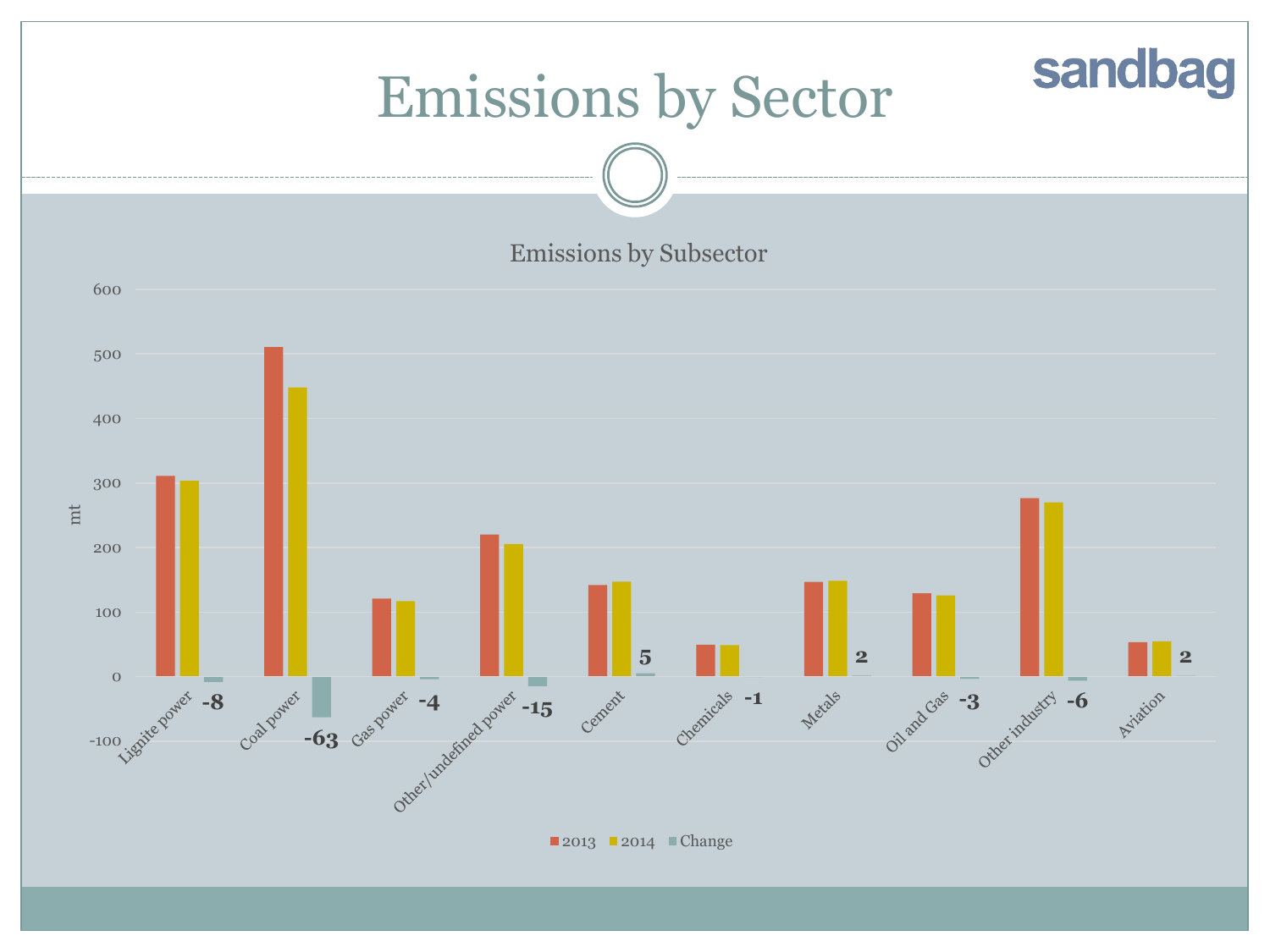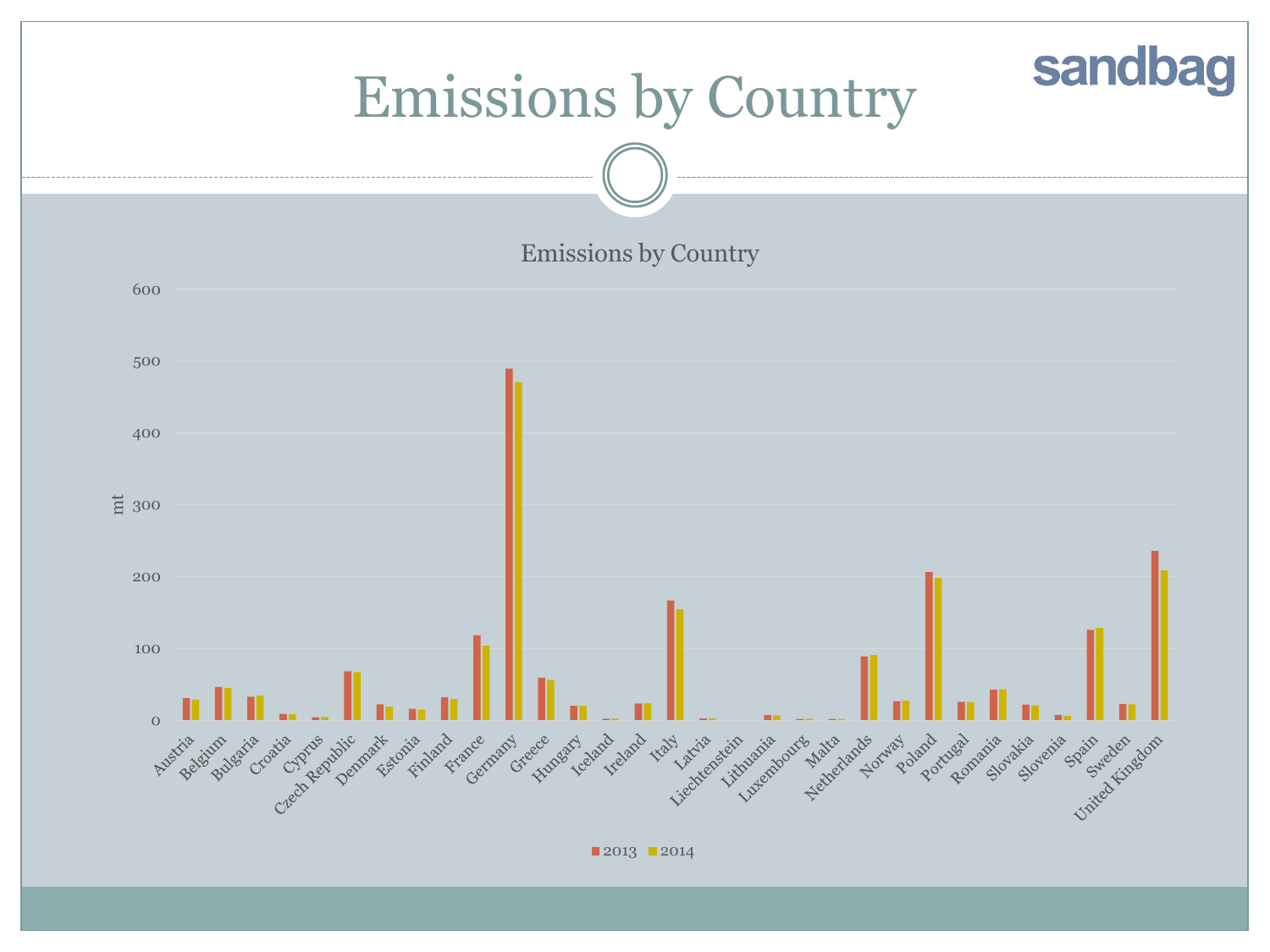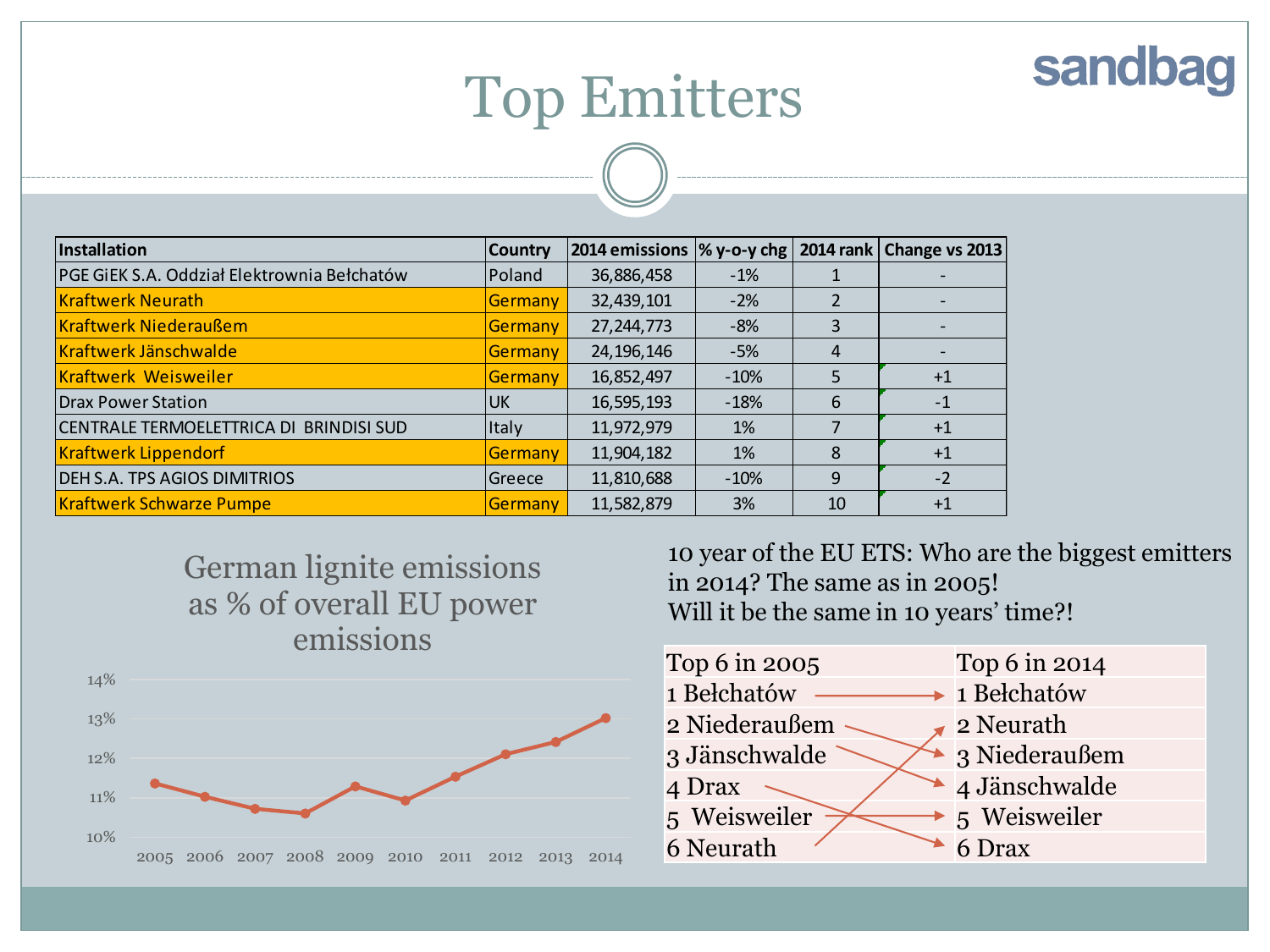## Top Emitters

| <i>Installation</i>                         | <b>Country</b> |              |        |    | 2014 emissions  % y-o-y chg   2014 rank   Change vs 2013 |
|---------------------------------------------|----------------|--------------|--------|----|----------------------------------------------------------|
| PGE GIEK S.A. Oddział Elektrownia Bełchatów | Poland         | 36,886,458   | $-1%$  |    |                                                          |
| <b>Kraftwerk Neurath</b>                    | Germany        | 32,439,101   | $-2%$  |    |                                                          |
| <b>Kraftwerk Niederaußem</b>                | <b>Germany</b> | 27, 244, 773 | $-8%$  | 3  |                                                          |
| Kraftwerk Jänschwalde                       | <b>Germany</b> | 24, 196, 146 | $-5%$  | 4  |                                                          |
| <b>Kraftwerk Weisweiler</b>                 | Germany        | 16,852,497   | $-10%$ | 5  | $+1$                                                     |
| <b>Drax Power Station</b>                   | <b>UK</b>      | 16,595,193   | $-18%$ | 6  | $-1$                                                     |
| CENTRALE TERMOELETTRICA DI BRINDISI SUD     | Italy          | 11,972,979   | $1\%$  |    | $+1$                                                     |
| <b>Kraftwerk Lippendorf</b>                 | Germany        | 11,904,182   | 1%     | 8  | $+1$                                                     |
| <b>DEH S.A. TPS AGIOS DIMITRIOS</b>         | lGreece        | 11,810,688   | $-10%$ | 9  | $-2$                                                     |
| <b>Kraftwerk Schwarze Pumpe</b>             | Germany        | 11,582,879   | 3%     | 10 | $+1$                                                     |





10 year of the EU ETS: Who are the biggest emitters in 2014? The same as in 2005! Will it be the same in 10 years' time?!

sandbag

Top 6 in 2005 Top 6 in 2014 1 Bełchatów — a Bełchatów 2 Niederaußem 2 2 Neurath 3 Jänschwalde 3 Niederaußem 4 Drax 4 Jänschwalde 5 Weisweiler  $\leftarrow$  5 Weisweiler  $6$  Neurath  $6$  Drax